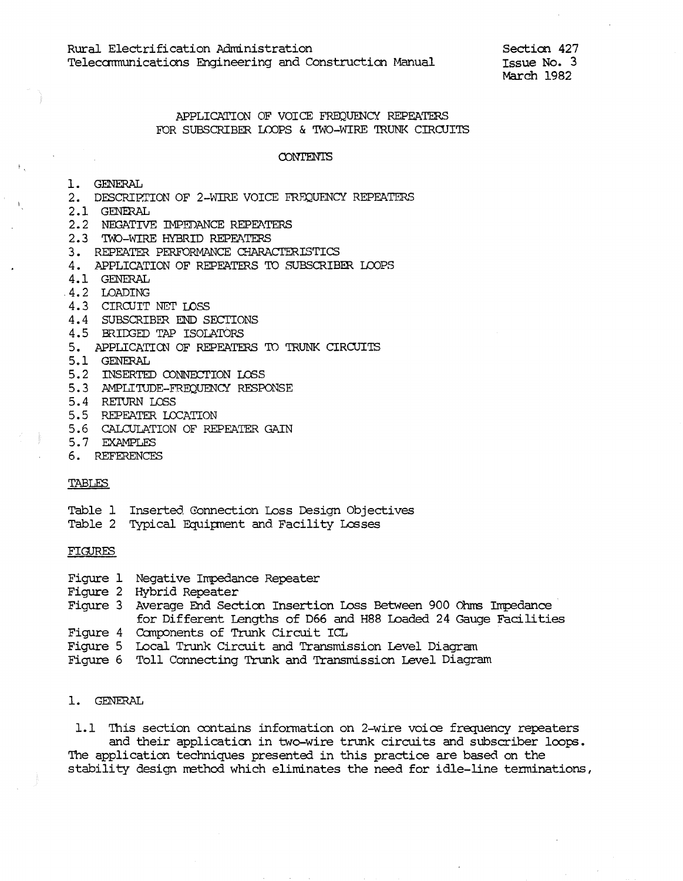Section 427 Issue No. 3 March 1982

# APPLICATION OF VOICE FREOUENCY REPEATERS FOR SUBSCRIBER LOOPS & TWO-WIRE TRUNK CIRCUITS

#### **CONTENTS**

- 1. GENERAL
- 2. DESCRIPTION OF 2-WIRE VOICE FREQUENCY REPEATERS
- 2.1 GENERAL
- 2.2 NEGATIVE IMPEDANCE REPEATERS
- 2.3 TWO-WIRE HYBRID REPEATERS
- 3. REPEATER PERFORMANCE CHARACTERISTICS
- 4. APPLICATION OF REPEATERS TO SUBSCRIBER LOOPS
- 4.1 GENERAL
- 4.2 LOADING
- 4.3 CIRCUIT NET LOSS
- 4.4 SUBSCRIBER END SECTIONS
- 4.5 BRIDGED TAP ISOLATORS
- 5. APPLICATION OF REPEATERS TO TRUNK CIRCUITS
- 5.1 GENERAL
- 5.2 INSERTED CONNECTION LOSS
- 5.3 AMPLITUDE-FREQUENCY RESPONSE
- 5.4 RETURN LOSS
- 5.5 REPEATER LOCATION
- 5.6 CALCULATION OF REPEATER GAIN
- 5.7 EXAMPLES
- 6. REFERENCES

### TABLES

### Table 1 Inserted Connection Loss Design Objectives

Table 2 Typical Equipment and Facility Losses

### FIGURES

- Figure 1 Negative Impedance Repeater
- Figure 2 Hybrid Repeater
- Figure 3 Average End Section Insertion Loss Between 900 Ohms Impedance for Different Lengths of D66 and H88 Loaded 24 Gauge Facilities Figure 4 Components of Trunk Circuit ICL
- 
- Figure 5 Local Trunk Circuit and Transmission Level Diagram
- Figure 6 Toll Connecting Trunk and Transmission Level Diagram

## 1. GENERAL

1.1 This section contains information on 2-wire voice frequency repeaters and their application in two-wire trunk circuits and subscriber loops. The application techniques presented in this practice are based on the stability design method which eliminates the need for idle-line terminations,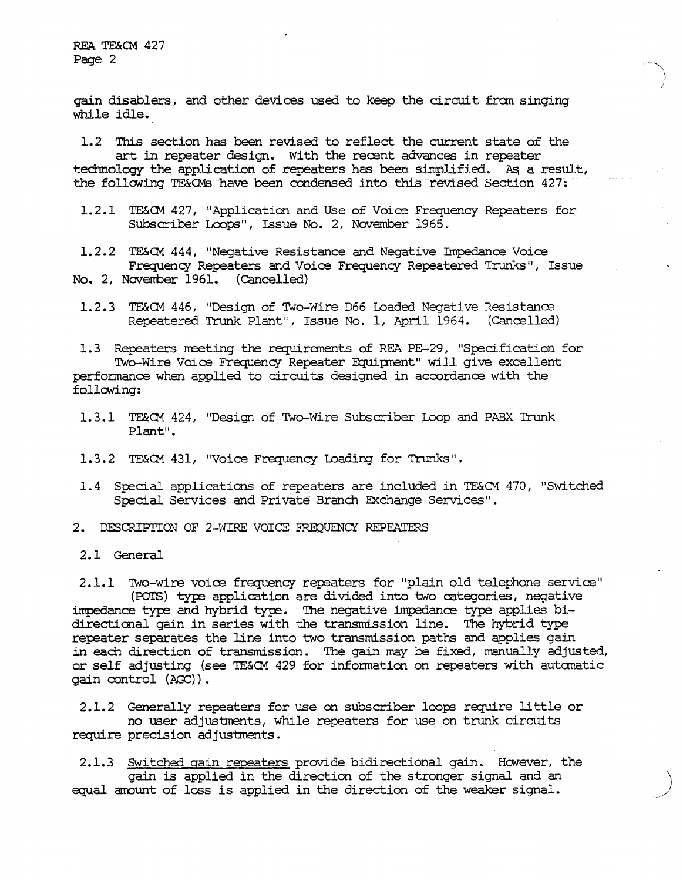REA TE&CM 427 Page 2

gain disablers, and other devices used to keep the circuit from singing while idle.

1.2 This section has been revised to reflect the current state of the art in repeater design. With the recent advances in repeater technology the application of repeaters has been simplified. As a result, the following TE&OMs have been condensed into this revised Section 427:

1.2.1 TE&CM 427, "Application and Use of Voice Frequency Repeaters for Subscriber Loops", Issue No. 2, November 1965.

1.2.2 TE&CM 444, "Negative Resistance and Negative Impedance Voice Frequency Repeaters and Voice Frequency Repeatered Trunks", Issue No. 2, November 1961. (Cancelled)

1.2.3 TE&CM 446, "Design of Two-Wire D66 Loaded Negative Resistance Repeatered Trunk Plant", Issue No. 1, April 1964. (Cancelled)

1.3 Repeaters meeting the requirements of REA PE-29, "Specification for Two-Wire Voice Frequency Repeater Equipment" will give excellent performance when applied to circuits designed in accordance with the following:

1.3.1 TE&CM 424, "Design of Two-Wire Subscriber Loop and PABX Trunk Plant".

1.3.2 TE&CM 431, "Voice Frequency Loading for Trunks".

- 1.4 Special applications of repeaters are included in TE&OM 470, "Switched Special Services and Private Branch Exchange Services".
- 2. DESCRIPTION OF 2-WIRE VOICE FREQUENCY REPEATERS
- 2.1 General

2.1.1 Two-wire voice frequency repeaters for "plain old telephone service" (POTS) type application are divided into two categories, negative impedance type and hybrid type. The negative impedance type applies bidirectional gain in series with the transmission line. The hybrid type repeater separates the line into two transmission paths and applies gain in each direction of transmission. The gain may be fixed, menually adjusted, or self adjusting (see TE&CM 429 for information on repeaters with automatic gain control (AGC)).

2.1.2 Generally repeaters for use on subscriber loops require little or no user adjustments, while repeaters for use on trunk circuits require precision adjustments.

2.1.3 Switched gain repeaters provide bidirectional gain. However, the gain is applied in the direction of the stronger signal and an equal amount of loss is applied in the direction of the weaker signal.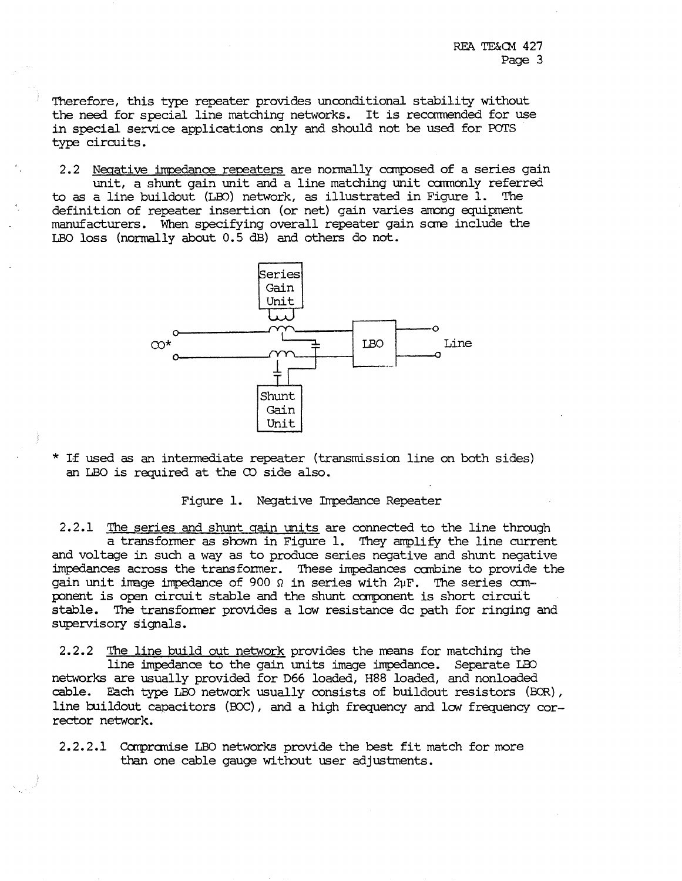Therefore, this type repeater provides unconditional stability without the need for special line matching networks. It is recarmended for use in special service applications only and should not be used for POTS type circuits.

2.2 Negative impedance repeaters are normally canposed of a series gain unit, a shunt gain unit and a line matching unit commonly referred to as a line buildout (LID) network, as illustrated in Figure 1. The definition of repeater insertion (or net) gain varies among equipment manufacturers. When specifying overall repeater gain sare include the LBO loss (normally about 0. 5 dB) and others do not.



\* If used as an intermediate repeater (transmission line on both sides) an LBO is required at the  $\infty$  side also.

Figure 1. Negative Impedance Repeater

2.2.1 The series and shunt gain units are connected to the line through a transformer as shown in Figure 1. They amplify the line current and voltage in such a way as to produce series negative and shunt negative impedances across the transformer. These impedances combine to provide the gain unit image impedance of 900  $\Omega$  in series with 2uF. The series component is open circuit stable and the shunt canponent is short circuit stable. The transfonner provides a low resistance de path for ringing and supervisory signals.

2.2.2 The line build out network provides the means for matching the line impedance to the gain units image impedance. Separate LBO networks are usually provided for D66 loaded, H88 loaded, and nonloaded cable. Each type LBO network usually consists of buildout resistors (BCR), line buildout capacitors (BOC), and a high frequency and low frequency corrector network.

2.2.2.1 Compromise LBO networks provide the best fit match for more than one cable gauge without user adjustments.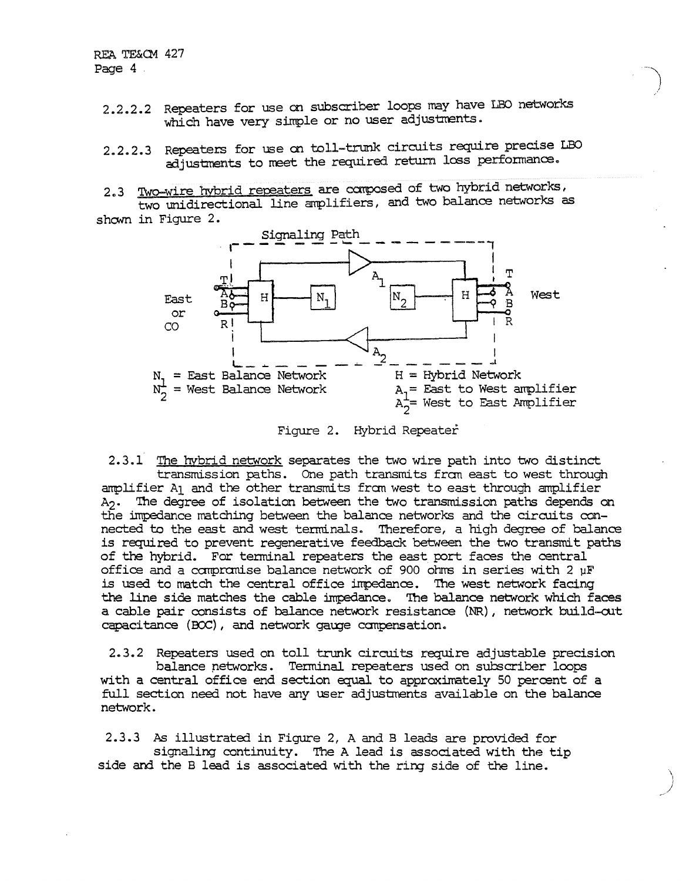- 2.2.2.2 Repeaters for use on subscriber loops may have LBO networks which have very simple or no user adjustments.
- 2.2.2.3 Repeaters for use on toll-trunk circuits require precise LBO adjustments to meet the required return loss performance.
- 2.3 Two-wire hybrid repeaters are composed of two hybrid networks, two unidirectional line amplifiers, and two balance networks as shown in Figure 2.



Figure 2. Hybrid Repeater

2.3.1 The hybrid network separates the two wire path into two distinct transmission paths. One path transmits from east to west through amplifier A1 and the other transmits from west to east through amplifier A<sub>2</sub>. The degree of isolation between the two transmission paths depends on the impedance matching between the balance networks and the circuits connected to the east and west terminals. Therefore, a high degree of balance is required to prevent regenerative feedback between the two transmit paths of the hybrid. For terminal repeaters the east port faces the central office and a compromise balance network of 900 ohms in series with 2 µF is used to match the central office impedance. The west network facing the line side matches the cable impedance. The balance network which faces a cable pair consists of balance network resistance (NR), network build-out capacitance (BCC), and network gauge compensation.

2.3.2 Repeaters used on toll trunk circuits require adjustable precision balance networks. Terminal repeaters used on subscriber loops with a central office end section equal to approximately 50 percent of a full section need not have any user adjustments available on the balance network.

2.3.3 As illustrated in Figure 2, A and B leads are provided for signaling continuity. The A lead is associated with the tip side and the B lead is associated with the ring side of the line.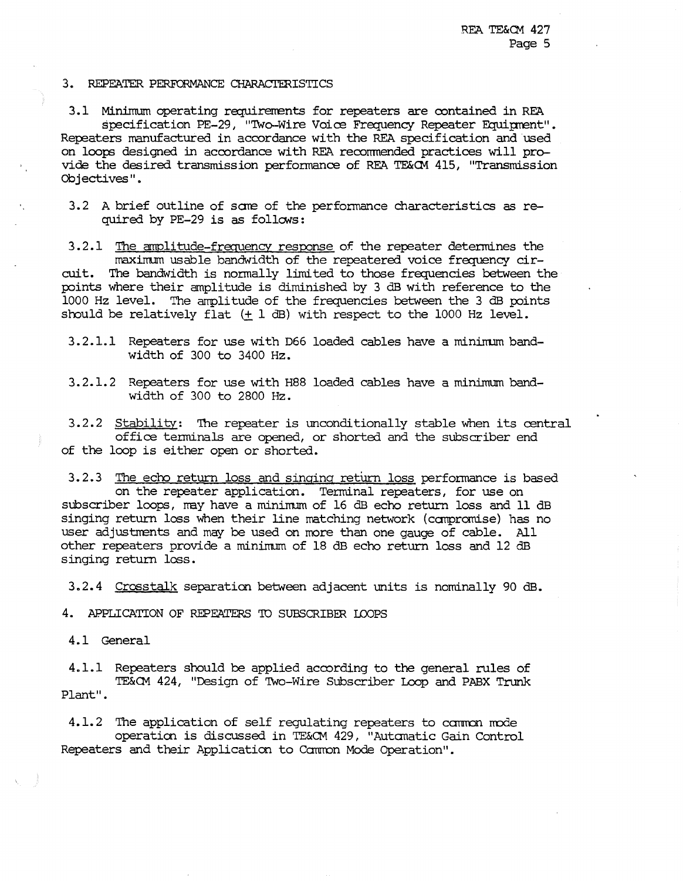### 3. REPEATER PERFORMANCE CHARACTERISTICS

3.1 Minimum operating requirements for repeaters are contained in REA specification PE-29, "'Iwo-Wire Voice Frequency Repeater Fquiprent". Repeaters manufactured in accordance with the REA specification and used on loops designed in accordance with REA recommended practices will provide the desired transmission performance of REA TE&CM 415, "Transmission Objectives''.

3.2 A brief outline of scrre of the perfonnance characteristics as required by PE-29 is as follows:

3.2.1 The amplitude-frequency resoonse of the repeater determines the maximum usable bandwidth of the repeatered voice frequency circuit. The bandwidth is normally limited to those frequencies between the points where their amplitude is diminished by 3 dB with reference to the 1000 Hz level. The arrplitude of the frequencies between the 3 dB points should be relatively flat  $(+ 1$  dB) with respect to the 1000 Hz level.

3. 2 .1.1 Repeaters for use with D66 loaded cables have a mininurn bandwidth of 300 to 3400 Hz.

3.2.1.2 Repeaters for use with H88 loaded cables have a minimum bandwidth of 300 to 2800 Hz.

3.2.2 Stability: The repeater is unconditionally stable when its central office tenninals are opened, or shorted and the subscriber end of the loop is either open or shorted.

3.2.3 The echo return loss and singing return loss performance is based on the repeater application. Terminal repeaters, for use on subscriber loops, may have a minimum of 16 dB echo return loss and 11 dB singing return loss when their line matching network (canpromise) has no user adjustments and may be used on more than one gauge of cable. All other repeaters provide a minimum of 18 dB echo return loss and 12 dB singing return loss.

3.2.4 Crosstalk separation between adjacent \IDits is nominally 90 dB.

4. APPLICATION OF REPEATERS TO SUBSCRIBER IDOPS

4.1 General

4.1.1 Repeaters should be applied according to the general rules of TE&CM 424, "Design of 'Iwo-Wire Subscriber Loop and PABX Trunk Plant".

4.1.2 The application of self regulating repeaters to common mode operaticn is discussed in TE&Qll 429, 11Autanatic Gain Control Repeaters and their Application to Common Mode Operation".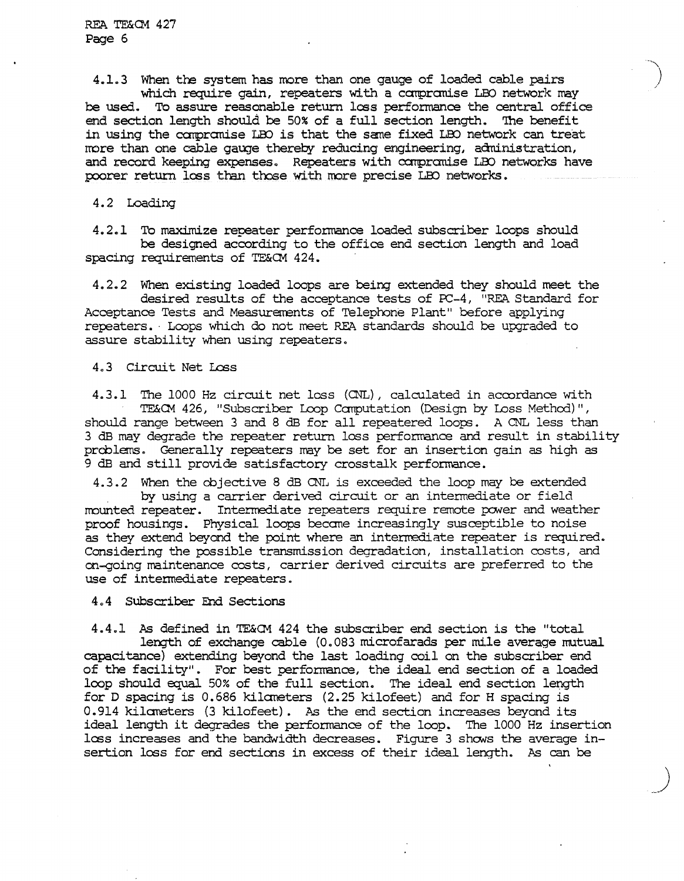REA TE&CM 427 Page 6

4.1.3 When the system has more than one gauge of loaded cable pairs *)*  which require gain, repeaters with a compromise LBO network may be used. To assure reasonable return loss performance the central office end section length should be 50% of a full section length. 'Ihe benefit in using the carpranise LOO is that the sane fixed LOO network can treat more than one cable gauge thereby reducing engineering, administration, and record keeping expenses. Repeaters with compromise LBO networks have poorer return loss than those with more precise LBO networks.

-.....\_\_

## 4.2 Loading

4.2.1 To maximize repeater performance loaded subscriber loops should be designed according to the office end section length and load spacing requirements of TE&CM 424.

4.2.2 When existing loaded loops are being extended they should meet the desired results of the acceptance tests of  $PC-4$ , "REA Standard for Acceptance Tests and Measurements of Telephone Plant" before applying repeaters. Loops which do not meet REA standards should be upgraded to assure stability when using repeaters.

4.3 Circuit Net Loss

4.3.1 The 1000 Hz circuit net loss (CNL), calculated in accordance with TE&CM 426, "Subscriber Loop Canputation (Design by Loss Methcd)", should range between 3 and 8 dB for all repeatered loops. A CNL less than 3 dB may degrade the repeater return loss performance and result in stability prcblems. Generally repeaters may be set for an insertion gain as high as 9 dB and still provide satisfactory crosstalk performance.

4.3.2 When the cbjective 8 dB CNL is exceeded the loop may be extended by using a carrier derived circuit or an intennediate or field mounted repeater. Intermediate repeaters require remote power and weather proof housings. Physical loops becane increasingly susceptible to noise as they extend beyond the point where an intermediate repeater is required. Considering the possible transmission degradation, installation costs, and on-going maintenance costs, carrier derived circuits are preferred to the use of intennediate repeaters.

4.4 Subscriber End Sections

4.4.1 As defined in TE&G1 424 the subscriber end section is the "total length of exchange cable (0.083 microfarads per mile average mutual capacitance) extending beyond the last loading coil on the subscriber end of the facility". For best performance, the ideal end section of a loaded loop should equal 50% of the full section. The ideal end section length for D spacing is 0.686 kilaneters (2.25 kilofeet) and for H spacing is 0.914 kilaneters (3 kilofeet). As the end section increases beyond its ideal length it degrades the performance of the loop. The 1000 Hz insertion loss increases and the bandwidth decreases. Figure 3 shows the average insertion lass for end sections in excess of their ideal length. As can be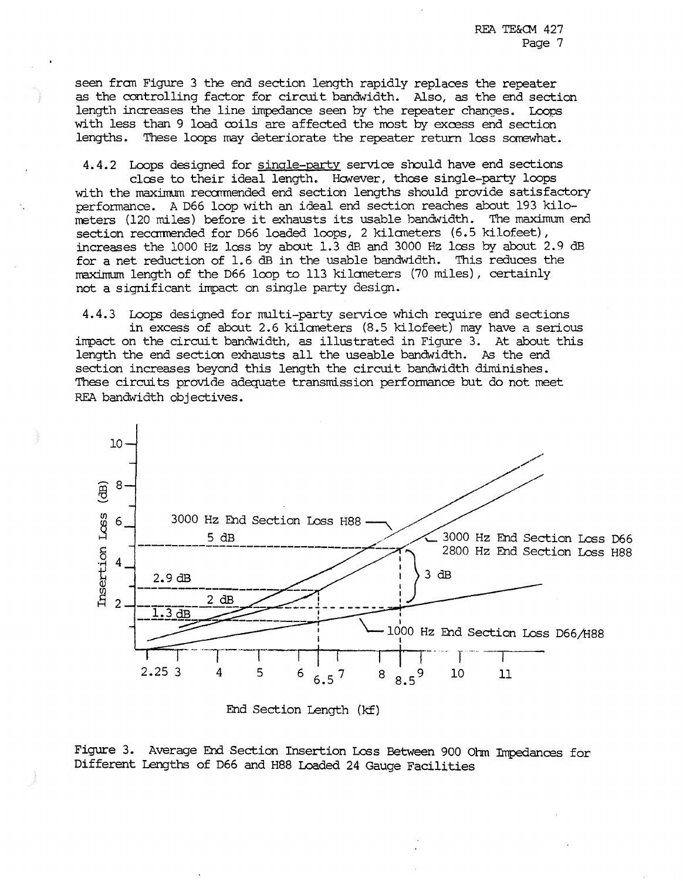seen fran Figure 3 the end section length rapidly replaces the repeater as the controlling factor for circuit bandwidth. Also, as the end section length increases the line impedance seen by the repeater changes. Loops with less than 9 load mils are affected the most by excess end section lengths. These loops may deteriorate the repeater return loss somewhat.

4.4.2 Loops designed for single-party service should have end sections close to their ideal length. However, those single-party loops with the maximum recommended end section lengths should provide satisfactory performance. A D66 loop with an ideal end section reaches about 193 kilometers (120 miles) before it exhausts its usable bandwidth. section recommended for D66 loaded loops, 2 kilometers (6.5 kilofeet), increases the 1000 Hz loss by about 1.3 dB and 3000 Hz loss by about 2.9 dB for a net reduction of 1.6 dB in the usable bandwidth. This reduces the maximum length of the D66 loop to 113 kilaheters (70 miles), certainly not a significant impact on single party design.

4.4.3 Loops designed for multi-party service which require end sections in excess of about 2.6 kilaneters (8.5 kilofeet) may have a serious impact on the circuit bandwidth, as illustrated in Figure 3. At about this length the end section exhausts all the useable bandwidth. As the end section increases beyond this length the circuit bandwidth diminishes. These circuits provide adequate transmission perfonnance but do not meet REA bandwidth objectives.



End Section Length (kf)

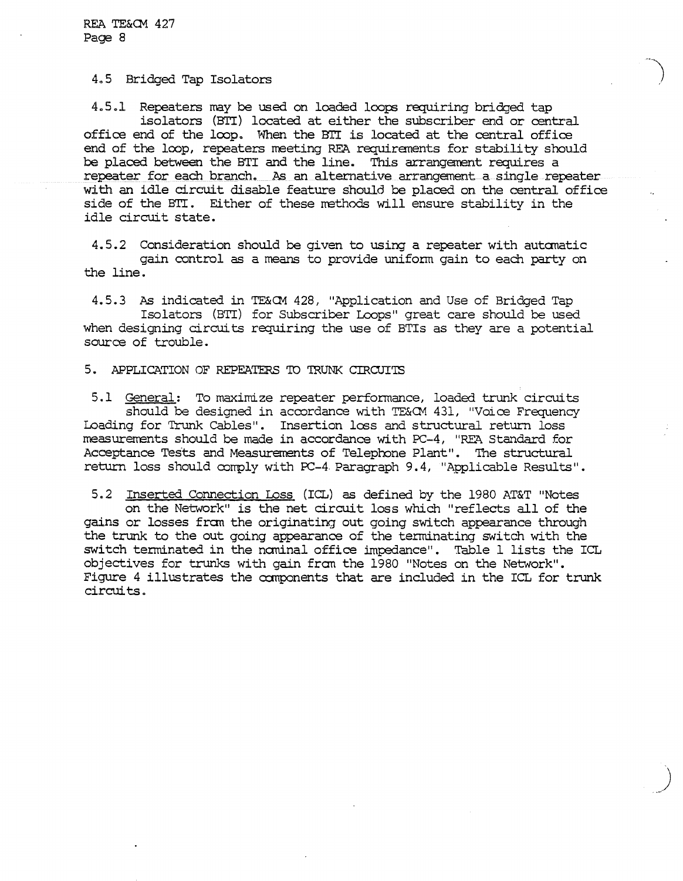## 4.5 Bridged Tap Isolators

4.5.l Repeaters may be used on loaded loops requiring bridged tap isolators (BI'I) located at either the subscriber end or central office end of the loop. When the BII is located at the central office end of the loop, repeaters meeting REA requirements for stability should be placed between the BTI and the line. This arrangement requires a repeater for each branch. As an alternative arrangement a single repeater with an idle circuit disable feature should be placed on the central office side of the BTI. Either of these methods will ensure stability in the idle circuit state.

4.5.2 Consideration should be given to using a repeater with autanatic gain control as a means to provide unifonn gain to each party on the line.

4.5.3 As indicated in TE&CM 428, "Application and Use of Bridged Tap Isolators (BTI) for Subscriber Loops" great care should be used when designing circuits requiring the use of BTis as they are a potential source of trouble.

## 5. APPLICATION OF REPEATERS TO TRUNK CIRCUITS

5.1 General: To maximize repeater performance, loaded trunk circuits should be designed in accordance with TE&CM 431, "Voice Frequency Loading for Trunk Cables". Insertion loss and structural return loss measurerrents should be made in accordance with PC-4, "REA Standard for Acceptance Tests and Measurements of Telephone Plant". The structural return loss should comply with PC-4 Paragraph 9.4, "Applicable Results".

5.2 Inserted Connection Loss (ICL) as defined by the 1980 AT&T "Notes on the Network" is the net circuit loss which "reflects all of the gains or losses £ran the originating out going switch appearance through the trunk to the out going appearance of the terminating switch with the switch terminated in the nominal office impedance". Table 1 lists the ICL objectives for trunks with gain from the 1980 "Notes on the Network". Figure 4 illustrates the components that are included in the ICL for trunk circuits.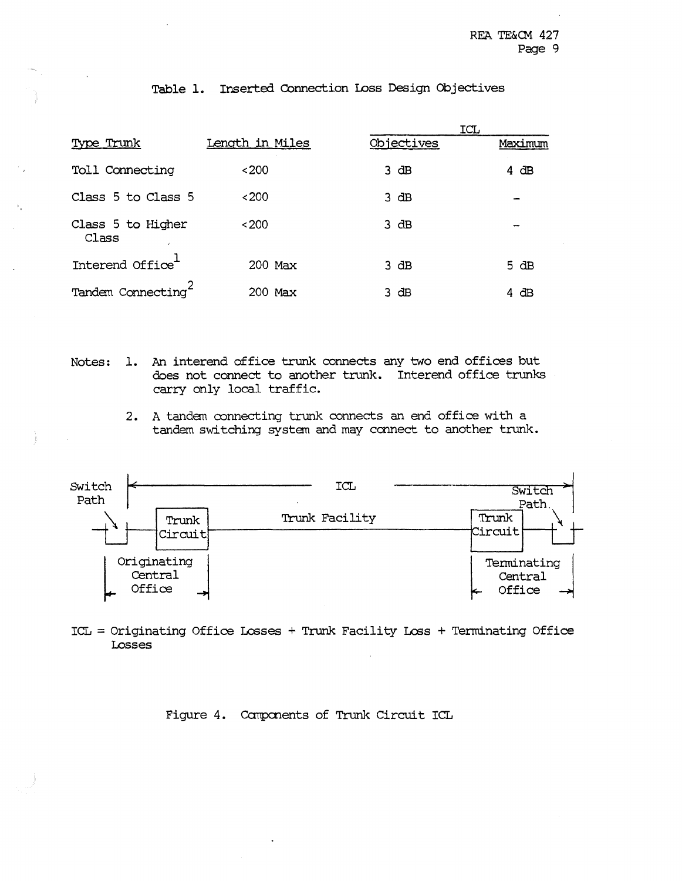|                            |                 |            | ICL     |
|----------------------------|-----------------|------------|---------|
| Type Trunk                 | Length in Miles | Objectives | Maximum |
| Toll Connecting            | <200            | $3$ dB     | 4 dB    |
| Class 5 to Class 5         | <200            | 3 dB       |         |
| Class 5 to Higher<br>Class | ~1200           | 3 dB       |         |
| Interend Office            | 200 Max         | 3 dB       | 5 dB    |
| Tandem Connecting          | 200 Max         | 3 dB       | 4 dB    |

# Table 1. Inserted Connection Loss Design Objectives

- Notes: 1. An interend office trunk connects any two end offices but does not connect to another trunk. Interend office trunks carry only local traffic.
	- 2. A tandem connecting trunk connects an end office with a tandem switching system and may connect to another trunk.



ICL = Originating Office Lesses+ Trunk Facility Less+ Terminating Office Losses

# Figure 4. Canpcnents of Trunk Circuit ICL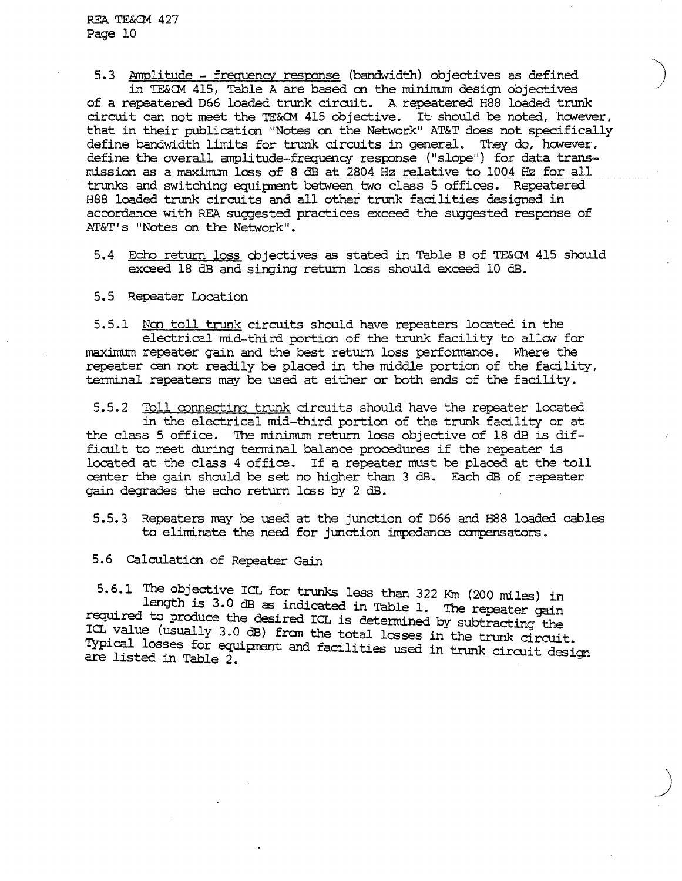5.3 Amplitude - frequency response (bandwidth) objectives as defined in TE&CM 415, Table A are based on the minimum design objectives of a repeatered D66 loaded trunk circuit. A repeatered H88 loaded trunk circuit can not meet the TE&CM 415 objective. It should be noted, however, that in their publication "Notes on the Network" AT&T does not specifically define bandwidth limits for trunk circuits in general. They do, however, define the overall amplitude-frequency response ("slope") for data transmission as a maximum less of 8 dB at 2804 Hz relative to 1004 Hz for all trunks and switching equipnent between two class 5 offices. Repeatered H88 loaded trunk circuits and all other trunk facilities designed in accordance with REA suggested practices exceed the suggested response of AT&T's "Notes on the Network".

- 5.4 Echo return loss cbjectives as stated in Table B of TE&CM 415 should exceed 18 dB and singing return loss should exceed 10 dB.
- 5.5 Repeater Location

5.5.1 Non toll trunk circuits should have repeaters located in the electrical mid-third portion of the trunk facility to allow for maximum repeater gain and the best return loss performance. Where the repeater can not readily be placed in the middle portion of the facility, terminal repeaters may be used at either or both ends of the facility.

5.5.2 Toll connecting trunk circuits should have the repeater located in the electrical mid-third portion of the trunk facility or at the class 5 office. The minimum return loss objective of 18 dB is difficult to meet during terminal balance procedures if the repeater is located at the class 4 office. If a repeater must be placed at the toll center the gain should be set no higher than 3 dB. Each dB of repeater gain degrades the echo return lcs s by 2 dB.

- 5. 5. 3 Repeaters may be used at the junction of D66 and H88 loaded cables to eliminate the need for junction impedance compensators.
- 5.6 Calculation of Repeater Gain

5.6.1 The objective ICL for trunks less than 322 Km (200 miles) in length is 3.0 dB as indicated in Table 1. The repeater gain required to produce the desired ICL is determined by subtracting the ICL value (usually 3.0 dB) fram the total losses in the trunk circuit. Typical losses for equipment and facilities used in trunk circuit design are listed in Table 2.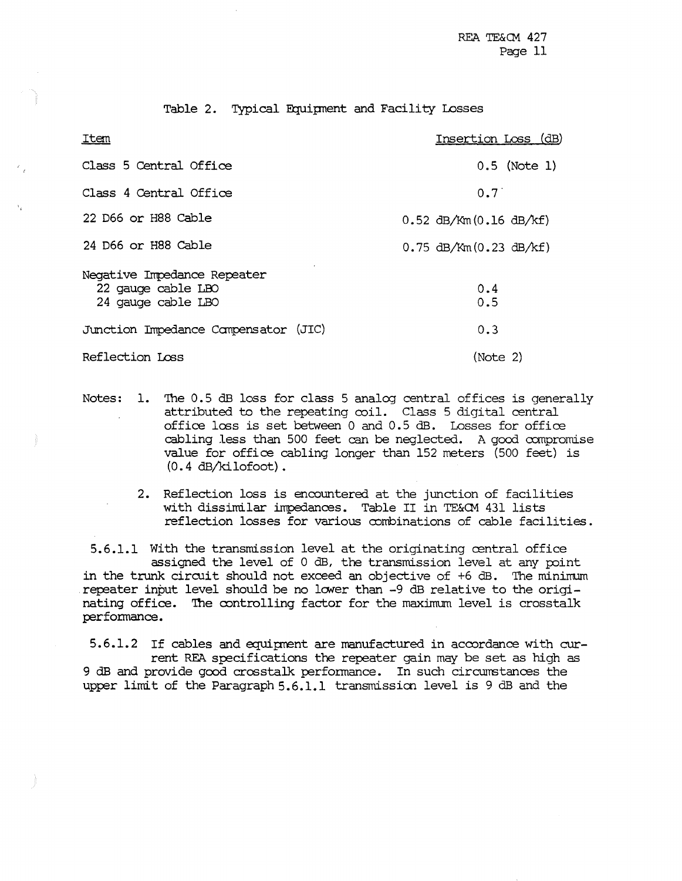Table 2. Typical Equipnent and Facility Losses

| Item                                                                    | Insertion Loss (dB)         |
|-------------------------------------------------------------------------|-----------------------------|
| Class 5 Central Office                                                  | $0.5$ (Note 1)              |
| Class 4 Central Office                                                  | $0.7^{\circ}$               |
| 22 D66 or H88 Cable                                                     | $0.52$ dB/Km $(0.16$ dB/kf) |
| 24 D66 or H88 Cable                                                     | $0.75$ dB/Km $(0.23$ dB/kf) |
| Negative Impedance Repeater<br>22 gauge cable LBO<br>24 gauge cable LBO | 0.4<br>0.5                  |
| Junction Impedance Compensator (JIC)                                    | 0.3                         |
| Reflection Loss                                                         | (Note 2)                    |

- Notes: 1. The 0.5 dB loss for class 5 analog central offices is generally attributed to the repeating coil. Class 5 digital central office less is set between 0 and 0.5 dB. Losses for office cabling less than 500 feet can be neglected. A good ccmpromise value for office cabling longer than 152 meters (500 feet) is (0.4 dB/kilofoot).
	- 2. Reflection loss is encountered at the junction of facilities with dissimilar impedances. Table II in TE&CM 431 lists reflection losses for various combinations of cable facilities.

5.6.1.1 With the transmission level at the originating central office assigned the level of 0 dB, the transmission level at any point in the trunk circuit should not exceed an objective of +6 dB. The minimum repeater input level should be no lower than -9 dB relative to the originating office. The controlling factor for the maximum level is crosstalk performance.

5.6.1.2 If cables and equipment are manufactured in accordance with current REA specifications the repeater gain may be set as high as 9 dB and provide good crosstalk performance. In such circumstances the upper limit of the Paragraph 5.6.1.1 transmission level is 9 dB and the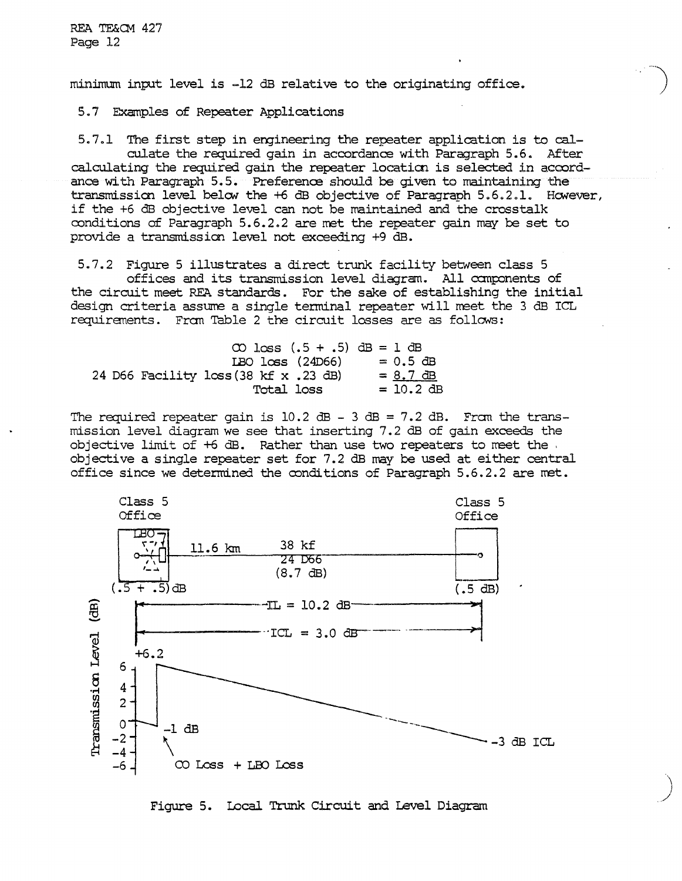minimum input level is -12 dB relative to the originating office.

5.7 Examples of Repeater Applications

 $5.7.1$ The first step in engineering the repeater application is to calculate the required gain in accordance with Paragraph 5.6. After calculating the required gain the repeater location is selected in accordance with Paragraph 5.5. Preference should be given to maintaining the transmission level below the +6 dB objective of Paragraph 5.6.2.1. However, if the +6 dB objective level can not be maintained and the crosstalk conditions of Paragraph 5.6.2.2 are met the repeater gain may be set to provide a transmission level not exceeding +9 dB.

5.7.2 Figure 5 illustrates a direct trunk facility between class 5 offices and its transmission level diagram. All components of the circuit meet REA standards. For the sake of establishing the initial design criteria assume a single terminal repeater will meet the 3 dB ICL requirements. From Table 2 the circuit losses are as follows:

|                                       | $CD$ $Loss(.5 + .5)$ $dB = 1$ $dB$ |
|---------------------------------------|------------------------------------|
| IBO loss (24D66)                      | $= 0.5$ dB                         |
| 24 D66 Facility loss (38 kf x .23 dB) | $= 8.7 \text{ }dB$                 |
| Total loss                            | $= 10.2$ dB                        |

The required repeater gain is  $10.2$  dB - 3 dB = 7.2 dB. Fram the transmission level diagram we see that inserting 7.2 dB of gain exceeds the objective limit of  $+6$  dB. Rather than use two repeaters to meet the. objective a single repeater set for 7.2 dB may be used at either central office since we determined the conditions of Paragraph 5.6.2.2 are met.



Figure 5. Local Trunk Circuit and Level Diagram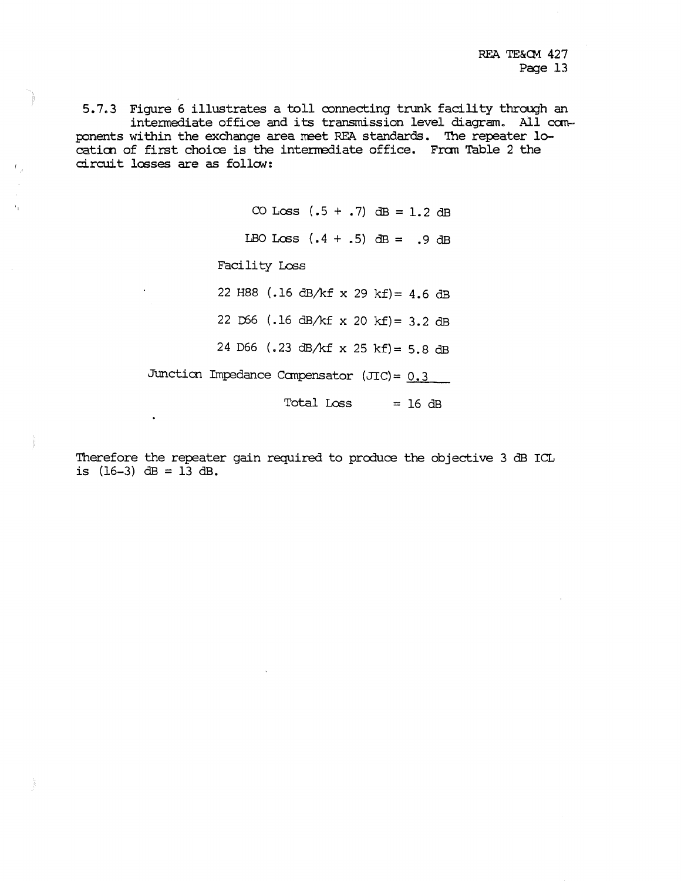REA TE&CM 427 Page 13

5.7.3 Figure 6 illustrates a toll connecting trunk facility through an intennediate office and its transmission level diagram. All can- ponents within the exchange area meet REA standards. The repeater location of first choice is the intermediate office. From Table 2 the circuit losses are as follow:

> CO Loss  $(.5 + .7)$  dB = 1.2 dB LBO Loss  $(.4 + .5)$  dB = .9 dB Facility Loss 22 H88 (.16 dB/kf x 29 kf)= 4.6 dB 22  $D66$  (.16 dB/kf x 20 kf) = 3.2 dB 24 D66 (.23 dB/kf x 25 kf)= 5.8 dB Junction Impedance Compensator (JIC) =  $0.3$ <br>Total Loss = 16 dB

Therefore the repeater gain required to produce the objective 3 dB ICL is  $(16-3)$  dB = 13 dB.

 $\ddot{\phantom{0}}$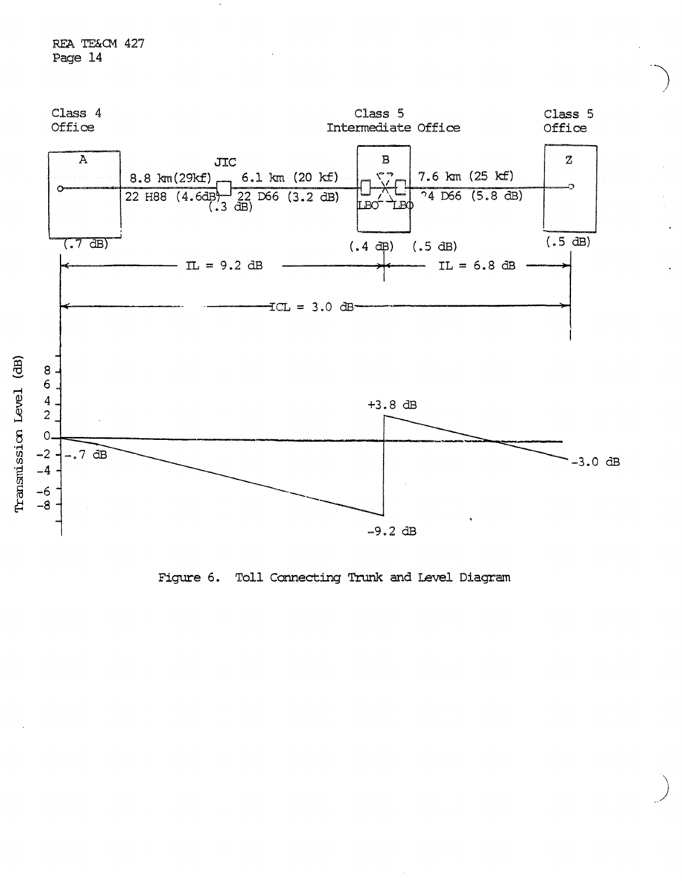

Figure 6. Toll Connecting Trunk and Level Diagram

)